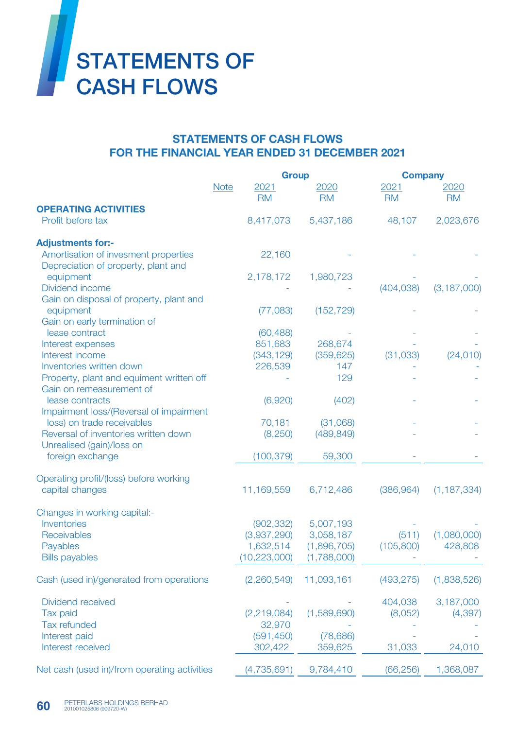

## STATEMENTS OF CASH FLOWS FOR THE FINANCIAL YEAR ENDED 31 DECEMBER 2021

|                                                                             |             | <b>Group</b>          |                   |                   | <b>Company</b>    |  |
|-----------------------------------------------------------------------------|-------------|-----------------------|-------------------|-------------------|-------------------|--|
|                                                                             | <b>Note</b> | 2021<br><b>RM</b>     | 2020<br><b>RM</b> | 2021<br><b>RM</b> | 2020<br><b>RM</b> |  |
| <b>OPERATING ACTIVITIES</b>                                                 |             |                       |                   |                   |                   |  |
| Profit before tax                                                           |             | 8,417,073             | 5,437,186         | 48,107            | 2,023,676         |  |
| <b>Adjustments for:-</b>                                                    |             |                       |                   |                   |                   |  |
| Amortisation of invesment properties<br>Depreciation of property, plant and |             | 22,160                |                   |                   |                   |  |
| equipment                                                                   |             | 2,178,172             | 1,980,723         |                   |                   |  |
| Dividend income                                                             |             |                       |                   | (404, 038)        | (3, 187, 000)     |  |
| Gain on disposal of property, plant and                                     |             |                       |                   |                   |                   |  |
| equipment                                                                   |             | (77,083)              | (152, 729)        |                   |                   |  |
| Gain on early termination of                                                |             |                       |                   |                   |                   |  |
| lease contract                                                              |             | (60, 488)             |                   |                   |                   |  |
| Interest expenses<br>Interest income                                        |             | 851,683<br>(343, 129) | 268,674           | (31, 033)         |                   |  |
| Inventories written down                                                    |             | 226,539               | (359, 625)<br>147 |                   | (24, 010)         |  |
| Property, plant and equiment written off                                    |             |                       | 129               |                   |                   |  |
| Gain on remeasurement of                                                    |             |                       |                   |                   |                   |  |
| lease contracts                                                             |             | (6,920)               | (402)             |                   |                   |  |
| Impairment loss/(Reversal of impairment                                     |             |                       |                   |                   |                   |  |
| loss) on trade receivables                                                  |             | 70,181                | (31,068)          |                   |                   |  |
| Reversal of inventories written down                                        |             | (8,250)               | (489, 849)        |                   |                   |  |
| Unrealised (gain)/loss on                                                   |             |                       |                   |                   |                   |  |
| foreign exchange                                                            |             | (100, 379)            | 59,300            |                   |                   |  |
| Operating profit/(loss) before working                                      |             |                       |                   |                   |                   |  |
| capital changes                                                             |             | 11,169,559            | 6,712,486         | (386, 964)        | (1, 187, 334)     |  |
| Changes in working capital:-                                                |             |                       |                   |                   |                   |  |
| Inventories                                                                 |             | (902, 332)            | 5,007,193         |                   |                   |  |
| Receivables                                                                 |             | (3,937,290)           | 3,058,187         | (511)             | (1,080,000)       |  |
| Payables                                                                    |             | 1,632,514             | (1,896,705)       | (105, 800)        | 428,808           |  |
| <b>Bills payables</b>                                                       |             | (10, 223, 000)        | (1,788,000)       |                   |                   |  |
| Cash (used in)/generated from operations                                    |             | (2,260,549)           | 11,093,161        | (493, 275)        | (1,838,526)       |  |
| Dividend received                                                           |             |                       |                   | 404,038           | 3,187,000         |  |
| Tax paid                                                                    |             | (2, 219, 084)         | (1,589,690)       | (8,052)           | (4, 397)          |  |
| <b>Tax refunded</b>                                                         |             | 32,970                |                   |                   |                   |  |
| Interest paid                                                               |             | (591, 450)            | (78, 686)         |                   |                   |  |
| Interest received                                                           |             | 302,422               | 359,625           | 31,033            | 24,010            |  |
|                                                                             |             |                       |                   |                   |                   |  |
| Net cash (used in)/from operating activities                                |             | (4,735,691)           | 9,784,410         | (66, 256)         | 1,368,087         |  |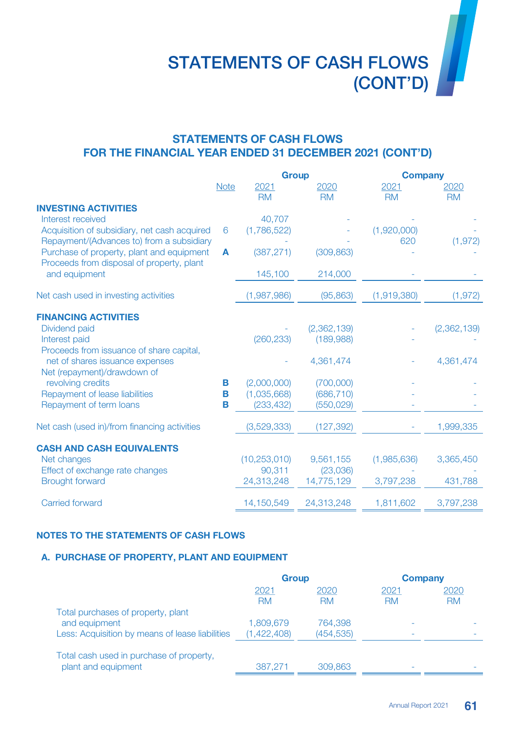# STATEMENTS OF CASH FLOWS (CONT'D)

## STATEMENTS OF CASH FLOWS FOR THE FINANCIAL YEAR ENDED 31 DECEMBER 2021 (CONT'D)

|                                              |             | <b>Group</b>   |             | <b>Company</b> |             |
|----------------------------------------------|-------------|----------------|-------------|----------------|-------------|
|                                              | <b>Note</b> | 2021           | 2020        | 2021           | 2020        |
|                                              |             | <b>RM</b>      | <b>RM</b>   | <b>RM</b>      | <b>RM</b>   |
| <b>INVESTING ACTIVITIES</b>                  |             |                |             |                |             |
| Interest received                            |             | 40,707         |             |                |             |
| Acquisition of subsidiary, net cash acquired | 6           | (1,786,522)    |             | (1,920,000)    |             |
| Repayment/(Advances to) from a subsidiary    |             |                |             | 620            | (1, 972)    |
| Purchase of property, plant and equipment    | A           | (387, 271)     | (309, 863)  |                |             |
| Proceeds from disposal of property, plant    |             |                |             |                |             |
| and equipment                                |             | 145,100        | 214,000     |                |             |
| Net cash used in investing activities        |             | (1,987,986)    | (95, 863)   | (1,919,380)    | (1, 972)    |
|                                              |             |                |             |                |             |
| <b>FINANCING ACTIVITIES</b>                  |             |                |             |                |             |
| Dividend paid                                |             |                | (2,362,139) |                | (2,362,139) |
| Interest paid                                |             | (260, 233)     | (189,988)   |                |             |
| Proceeds from issuance of share capital,     |             |                |             |                |             |
| net of shares issuance expenses              |             |                | 4,361,474   |                | 4,361,474   |
| Net (repayment)/drawdown of                  |             |                |             |                |             |
| revolving credits                            | Β           | (2,000,000)    | (700,000)   |                |             |
| Repayment of lease liabilities               | B           | (1,035,668)    | (686, 710)  |                |             |
| Repayment of term loans                      | B           | (233, 432)     | (550, 029)  |                |             |
| Net cash (used in)/from financing activities |             | (3,529,333)    | (127, 392)  |                | 1,999,335   |
|                                              |             |                |             |                |             |
| <b>CASH AND CASH EQUIVALENTS</b>             |             |                |             |                |             |
| Net changes                                  |             | (10, 253, 010) | 9,561,155   | (1,985,636)    | 3,365,450   |
| Effect of exchange rate changes              |             | 90,311         | (23,036)    |                |             |
| <b>Brought forward</b>                       |             | 24,313,248     | 14,775,129  | 3,797,238      | 431,788     |
|                                              |             |                |             |                |             |
| <b>Carried forward</b>                       |             | 14,150,549     | 24,313,248  | 1,811,602      | 3,797,238   |

#### NOTES TO THE STATEMENTS OF CASH FLOWS

#### A. PURCHASE OF PROPERTY, PLANT AND EQUIPMENT

|                                                 | <b>Group</b> |            | <b>Company</b> |      |
|-------------------------------------------------|--------------|------------|----------------|------|
|                                                 | 2021         | 2020       | 2021           | 2020 |
|                                                 | <b>RM</b>    | <b>RM</b>  | RM             | RM   |
| Total purchases of property, plant              |              |            |                |      |
| and equipment                                   | 1,809,679    | 764,398    |                |      |
| Less: Acquisition by means of lease liabilities | (1,422,408)  | (454, 535) |                |      |
| Total cash used in purchase of property,        |              |            |                |      |
| plant and equipment                             | 387,271      | 309,863    |                |      |